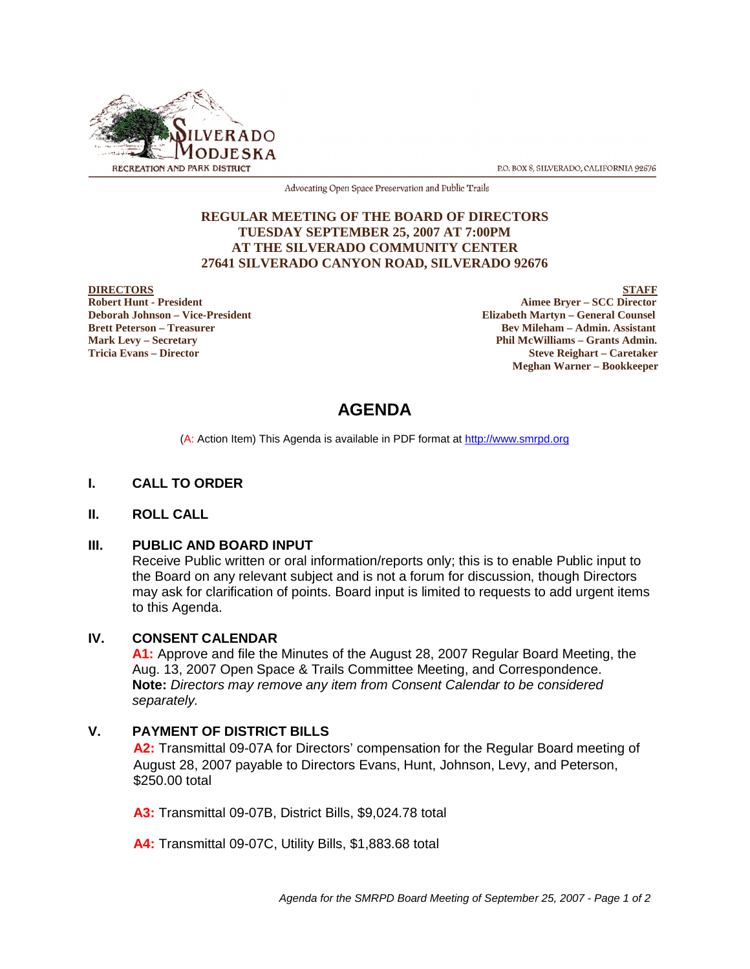

P.O. BOX 8, SILVERADO, CALIFORNIA 92676

Advocating Open Space Preservation and Public Trails

#### **REGULAR MEETING OF THE BOARD OF DIRECTORS TUESDAY SEPTEMBER 25, 2007 AT 7:00PM AT THE SILVERADO COMMUNITY CENTER 27641 SILVERADO CANYON ROAD, SILVERADO 92676**

**DIRECTORS** STAFF **Robert Hunt - President Aimee Bryer – SCC Director Deborah Johnson – Vice-President Elizabeth Martyn – General Counsel Brett Peterson – Treasurer Sexual Assistant** Bev Mileham – Admin. Assistant **Mark Levy – Secretary Phil McWilliams – Grants Admin. Tricia Evans – Director Steve Reighart – Caretaker Meghan Warner – Bookkeeper**

# **AGENDA**

(A: Action Item) This Agenda is available in PDF format at http://www.smrpd.org

#### **I. CALL TO ORDER**

#### **II. ROLL CALL**

#### **III. PUBLIC AND BOARD INPUT**

Receive Public written or oral information/reports only; this is to enable Public input to the Board on any relevant subject and is not a forum for discussion, though Directors may ask for clarification of points. Board input is limited to requests to add urgent items to this Agenda.

#### **IV. CONSENT CALENDAR**

**A1:** Approve and file the Minutes of the August 28, 2007 Regular Board Meeting, the Aug. 13, 2007 Open Space & Trails Committee Meeting, and Correspondence. **Note:** *Directors may remove any item from Consent Calendar to be considered separately.*

## **V. PAYMENT OF DISTRICT BILLS**

**A2:** Transmittal 09-07A for Directors' compensation for the Regular Board meeting of August 28, 2007 payable to Directors Evans, Hunt, Johnson, Levy, and Peterson, \$250.00 total

**A3:** Transmittal 09-07B, District Bills, \$9,024.78 total

**A4:** Transmittal 09-07C, Utility Bills, \$1,883.68 total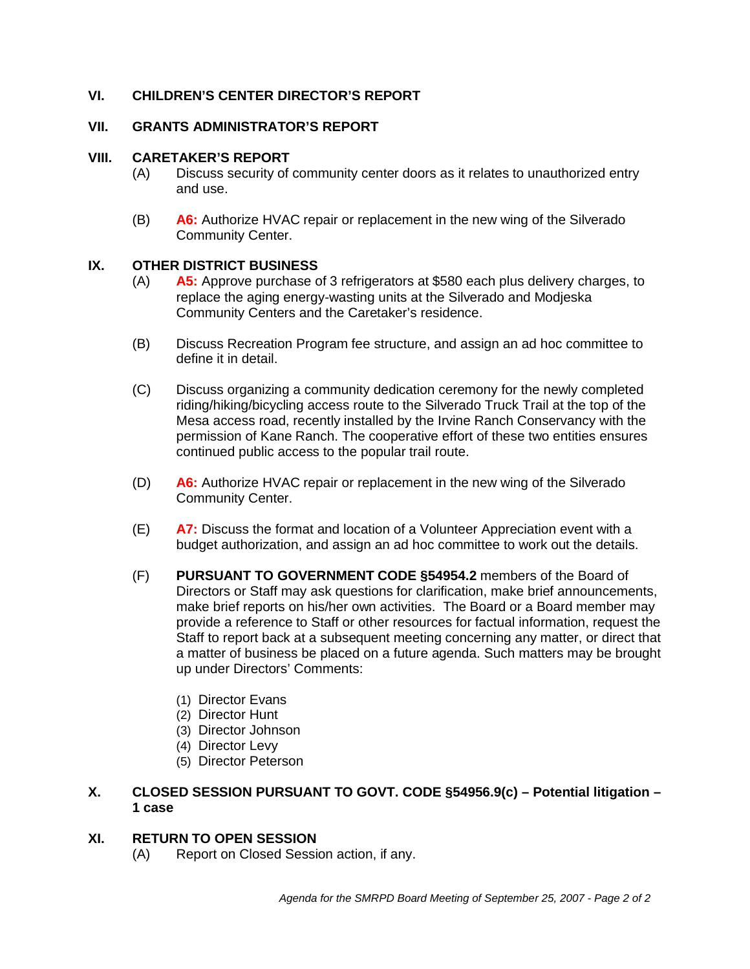# **VI. CHILDREN'S CENTER DIRECTOR'S REPORT**

### **VII. GRANTS ADMINISTRATOR'S REPORT**

#### **VIII. CARETAKER'S REPORT**

- (A) Discuss security of community center doors as it relates to unauthorized entry and use.
- (B) **A6:** Authorize HVAC repair or replacement in the new wing of the Silverado Community Center.

#### **IX. OTHER DISTRICT BUSINESS**

- (A) **A5:** Approve purchase of 3 refrigerators at \$580 each plus delivery charges, to replace the aging energy-wasting units at the Silverado and Modjeska Community Centers and the Caretaker's residence.
- (B) Discuss Recreation Program fee structure, and assign an ad hoc committee to define it in detail.
- (C) Discuss organizing a community dedication ceremony for the newly completed riding/hiking/bicycling access route to the Silverado Truck Trail at the top of the Mesa access road, recently installed by the Irvine Ranch Conservancy with the permission of Kane Ranch. The cooperative effort of these two entities ensures continued public access to the popular trail route.
- (D) **A6:** Authorize HVAC repair or replacement in the new wing of the Silverado Community Center.
- (E) **A7:** Discuss the format and location of a Volunteer Appreciation event with a budget authorization, and assign an ad hoc committee to work out the details.
- (F) **PURSUANT TO GOVERNMENT CODE §54954.2** members of the Board of Directors or Staff may ask questions for clarification, make brief announcements, make brief reports on his/her own activities. The Board or a Board member may provide a reference to Staff or other resources for factual information, request the Staff to report back at a subsequent meeting concerning any matter, or direct that a matter of business be placed on a future agenda. Such matters may be brought up under Directors' Comments:
	- (1) Director Evans
	- (2) Director Hunt
	- (3) Director Johnson
	- (4) Director Levy
	- (5) Director Peterson
- **X. CLOSED SESSION PURSUANT TO GOVT. CODE §54956.9(c) Potential litigation – 1 case**

#### **XI. RETURN TO OPEN SESSION**

(A) Report on Closed Session action, if any.